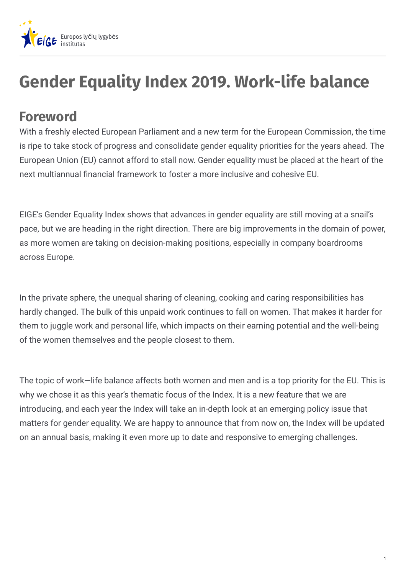

## **Gender Equality Index 2019. Work-life balance**

## **Foreword**

With a freshly elected European Parliament and a new term for the European Commission, the time is ripe to take stock of progress and consolidate gender equality priorities for the years ahead. The European Union (EU) cannot afford to stall now. Gender equality must be placed at the heart of the next multiannual financial framework to foster a more inclusive and cohesive EU.

EIGE's Gender Equality Index shows that advances in gender equality are still moving at a snail's pace, but we are heading in the right direction. There are big improvements in the domain of power, as more women are taking on decision-making positions, especially in company boardrooms across Europe.

In the private sphere, the unequal sharing of cleaning, cooking and caring responsibilities has hardly changed. The bulk of this unpaid work continues to fall on women. That makes it harder for them to juggle work and personal life, which impacts on their earning potential and the well-being of the women themselves and the people closest to them.

The topic of work—life balance affects both women and men and is a top priority for the EU. This is why we chose it as this year's thematic focus of the Index. It is a new feature that we are introducing, and each year the Index will take an in-depth look at an emerging policy issue that matters for gender equality. We are happy to announce that from now on, the Index will be updated on an annual basis, making it even more up to date and responsive to emerging challenges.